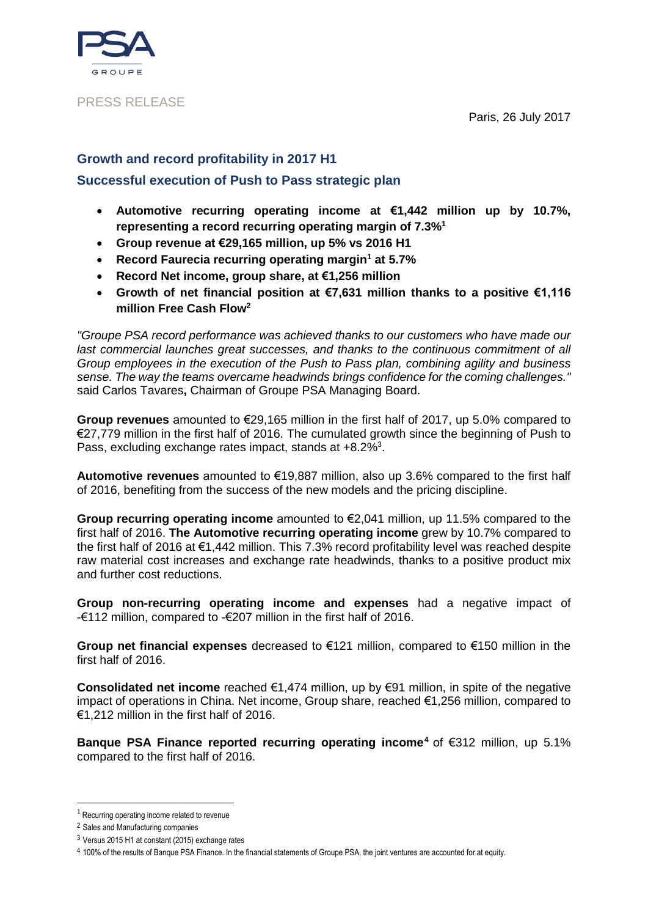### PRESS RELEASE

Paris, 26 July 2017

## **Growth and record profitability in 2017 H1 Successful execution of Push to Pass strategic plan**

- **Automotive recurring operating income at €1,442 million up by 10.7%, representing a record recurring operating margin of 7.3%<sup>1</sup>**
- **Group revenue at €29,165 million, up 5% vs 2016 H1**
- **Record Faurecia recurring operating margin<sup>1</sup> at 5.7%**
- **Record Net income, group share, at €1,256 million**
- **Growth of net financial position at €7,631 million thanks to a positive €1,116 million Free Cash Flow<sup>2</sup>**

*"Groupe PSA record performance was achieved thanks to our customers who have made our last commercial launches great successes, and thanks to the continuous commitment of all Group employees in the execution of the Push to Pass plan, combining agility and business sense. The way the teams overcame headwinds brings confidence for the coming challenges."* said Carlos Tavares**,** Chairman of Groupe PSA Managing Board.

**Group revenues** amounted to €29,165 million in the first half of 2017, up 5.0% compared to €27,779 million in the first half of 2016. The cumulated growth since the beginning of Push to Pass, excluding exchange rates impact, stands at  $+8.2\%$ <sup>3</sup>.

**Automotive revenues** amounted to €19,887 million, also up 3.6% compared to the first half of 2016, benefiting from the success of the new models and the pricing discipline.

**Group recurring operating income** amounted to €2,041 million, up 11.5% compared to the first half of 2016. **The Automotive recurring operating income** grew by 10.7% compared to the first half of 2016 at €1,442 million. This 7.3% record profitability level was reached despite raw material cost increases and exchange rate headwinds, thanks to a positive product mix and further cost reductions.

**Group non-recurring operating income and expenses** had a negative impact of -€112 million, compared to -€207 million in the first half of 2016.

**Group net financial expenses** decreased to €121 million, compared to €150 million in the first half of 2016.

**Consolidated net income** reached €1,474 million, up by €91 million, in spite of the negative impact of operations in China. Net income, Group share, reached €1,256 million, compared to €1,212 million in the first half of 2016.

**Banque PSA Finance reported recurring operating income<sup>4</sup>** of €312 million, up 5.1% compared to the first half of 2016.

<u>.</u>

 $1$  Recurring operating income related to revenue

<sup>2</sup> Sales and Manufacturing companies

<sup>3</sup> Versus 2015 H1 at constant (2015) exchange rates

<sup>4</sup> 100% of the results of Banque PSA Finance. In the financial statements of Groupe PSA, the joint ventures are accounted for at equity.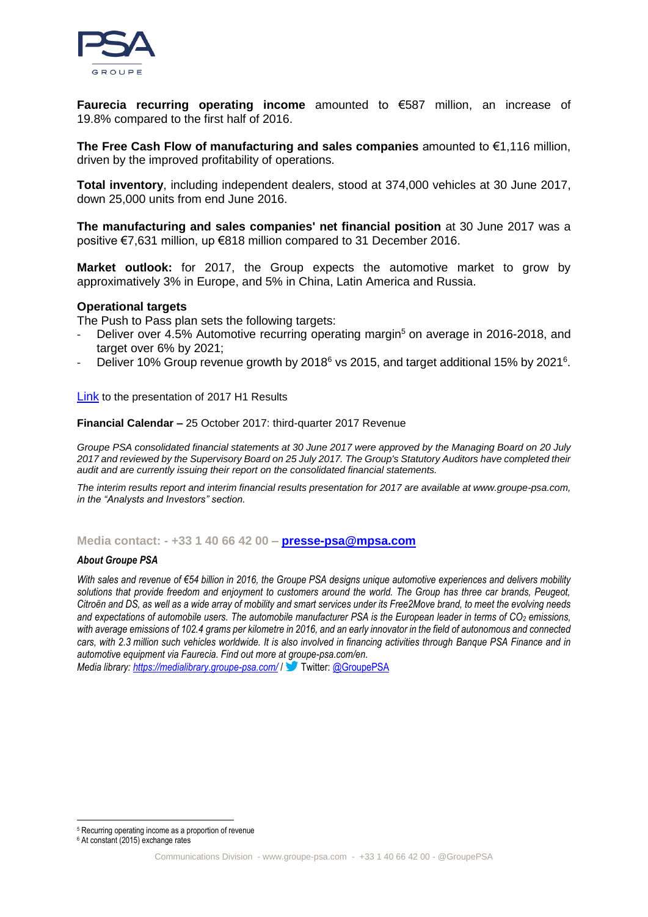

**Faurecia recurring operating income** amounted to €587 million, an increase of 19.8% compared to the first half of 2016.

**The Free Cash Flow of manufacturing and sales companies** amounted to €1,116 million, driven by the improved profitability of operations.

**Total inventory**, including independent dealers, stood at 374,000 vehicles at 30 June 2017, down 25,000 units from end June 2016.

**The manufacturing and sales companies' net financial position** at 30 June 2017 was a positive €7,631 million, up €818 million compared to 31 December 2016.

**Market outlook:** for 2017, the Group expects the automotive market to grow by approximatively 3% in Europe, and 5% in China, Latin America and Russia.

#### **Operational targets**

The Push to Pass plan sets the following targets:

- Deliver over 4.5% Automotive recurring operating margin<sup>5</sup> on average in 2016-2018, and target over 6% by 2021;
- Deliver 10% Group revenue growth by 2018<sup>6</sup> vs 2015, and target additional 15% by 2021<sup>6</sup>.

[Link](https://www.groupe-psa.com/en/finance/publications/) to the presentation of 2017 H1 Results

#### **Financial Calendar –** 25 October 2017: third-quarter 2017 Revenue

*Groupe PSA consolidated financial statements at 30 June 2017 were approved by the Managing Board on 20 July 2017 and reviewed by the Supervisory Board on 25 July 2017. The Group's Statutory Auditors have completed their audit and are currently issuing their report on the consolidated financial statements.*

*The interim results report and interim financial results presentation for 2017 are available at www.groupe-psa.com, in the "Analysts and Investors" section.*

#### **Media contact: - +33 1 40 66 42 00 – [presse-psa@mpsa.com](mailto:presse-psa@mpsa.com)**

#### *About Groupe PSA*

*With sales and revenue of €54 billion in 2016, the Groupe PSA designs unique automotive experiences and delivers mobility solutions that provide freedom and enjoyment to customers around the world. The Group has three car brands, Peugeot, Citroën and DS, as well as a wide array of mobility and smart services under its Free2Move brand, to meet the evolving needs and expectations of automobile users. [The automobile manufacturer](https://www.groupe-psa.com/en) PSA is the European leader in terms of CO<sup>2</sup> emissions, with average emissions of 102.4 grams per kilometre in 2016, and an early innovator in the field of autonomous and connected cars, with 2.3 million such vehicles worldwide. It is also involved in financing activities through [Banque PSA Finance](http://www.banquepsafinance.com/) and in automotive equipment vi[a Faurecia.](http://www.faurecia.com/en) Find out more at groupe-psa.com/en.*

*Media library:<https://medialibrary.groupe-psa.com/>* / Twitter[: @GroupePSA](http://twitter.com/GroupePSA)

<u>.</u>

<sup>5</sup> Recurring operating income as a proportion of revenue

<sup>6</sup> At constant (2015) exchange rates

Communications Division - [www.groupe-psa.com](http://www.groupe-psa.com/) - +33 1 40 66 42 00 - @GroupePSA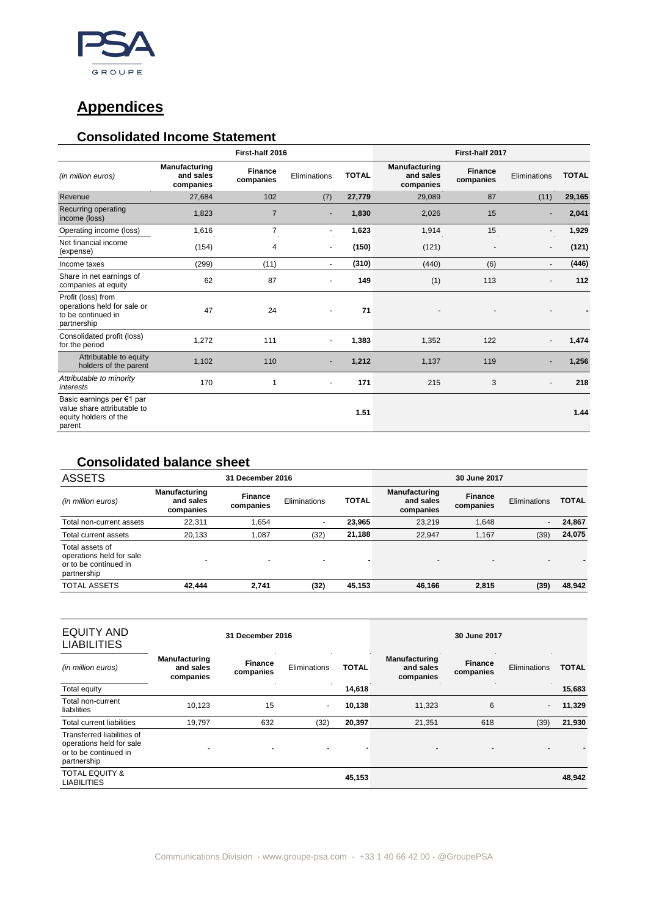

# **Appendices**

### **Consolidated Income Statement**

|                                                                                             | First-half 2016                                |                             |                          |              | First-half 2017                                |                             |              |              |
|---------------------------------------------------------------------------------------------|------------------------------------------------|-----------------------------|--------------------------|--------------|------------------------------------------------|-----------------------------|--------------|--------------|
| (in million euros)                                                                          | <b>Manufacturing</b><br>and sales<br>companies | <b>Finance</b><br>companies | Eliminations             | <b>TOTAL</b> | <b>Manufacturing</b><br>and sales<br>companies | <b>Finance</b><br>companies | Eliminations | <b>TOTAL</b> |
| Revenue                                                                                     | 27,684                                         | 102                         | (7)                      | 27,779       | 29,089                                         | 87                          | (11)         | 29,165       |
| Recurring operating<br>income (loss)                                                        | 1,823                                          | $\overline{7}$              | $\overline{\phantom{a}}$ | 1,830        | 2,026                                          | 15                          |              | 2,041        |
| Operating income (loss)                                                                     | 1,616                                          | 7                           | $\blacksquare$           | 1,623        | 1,914                                          | 15                          |              | 1,929        |
| Net financial income<br>(expense)                                                           | (154)                                          | 4                           | $\overline{\phantom{a}}$ | (150)        | (121)                                          |                             |              | (121)        |
| Income taxes                                                                                | (299)                                          | (11)                        | $\blacksquare$           | (310)        | (440)                                          | (6)                         |              | (446)        |
| Share in net earnings of<br>companies at equity                                             | 62                                             | 87                          |                          | 149          | (1)                                            | 113                         |              | 112          |
| Profit (loss) from<br>operations held for sale or<br>to be continued in<br>partnership      | 47                                             | 24                          |                          | 71           |                                                |                             |              |              |
| Consolidated profit (loss)<br>for the period                                                | 1,272                                          | 111                         | $\blacksquare$           | 1,383        | 1,352                                          | 122                         |              | 1,474        |
| Attributable to equity<br>holders of the parent                                             | 1,102                                          | 110                         |                          | 1,212        | 1,137                                          | 119                         |              | 1,256        |
| Attributable to minority<br>interests                                                       | 170                                            | 1                           | $\blacksquare$           | 171          | 215                                            | 3                           |              | 218          |
| Basic earnings per €1 par<br>value share attributable to<br>equity holders of the<br>parent |                                                |                             |                          | 1.51         |                                                |                             |              | 1.44         |

### **Consolidated balance sheet**

| <b>ASSETS</b>                                                                       | 31 December 2016                               |                             |              |              | 30 June 2017                                   |                             |              |              |
|-------------------------------------------------------------------------------------|------------------------------------------------|-----------------------------|--------------|--------------|------------------------------------------------|-----------------------------|--------------|--------------|
| (in million euros)                                                                  | <b>Manufacturing</b><br>and sales<br>companies | <b>Finance</b><br>companies | Eliminations | <b>TOTAL</b> | <b>Manufacturing</b><br>and sales<br>companies | <b>Finance</b><br>companies | Eliminations | <b>TOTAL</b> |
| Total non-current assets                                                            | 22.311                                         | 1.654                       | ۰            | 23,965       | 23.219                                         | 1.648                       |              | 24,867       |
| Total current assets                                                                | 20.133                                         | 1.087                       | (32)         | 21,188       | 22.947                                         | 1.167                       | (39)         | 24,075       |
| Total assets of<br>operations held for sale<br>or to be continued in<br>partnership |                                                | $\overline{a}$              |              |              | $\overline{\phantom{a}}$                       | -                           |              |              |
| <b>TOTAL ASSETS</b>                                                                 | 42.444                                         | 2.741                       | (32)         | 45,153       | 46,166                                         | 2,815                       | (39)         | 48,942       |

| EQUITY AND<br><b>LIABILITIES</b>                                                               | 31 December 2016                               |                             |                          | 30 June 2017 |                                                |                             |                          |              |
|------------------------------------------------------------------------------------------------|------------------------------------------------|-----------------------------|--------------------------|--------------|------------------------------------------------|-----------------------------|--------------------------|--------------|
| (in million euros)                                                                             | <b>Manufacturing</b><br>and sales<br>companies | <b>Finance</b><br>companies | Eliminations             | <b>TOTAL</b> | <b>Manufacturing</b><br>and sales<br>companies | <b>Finance</b><br>companies | Eliminations             | <b>TOTAL</b> |
| Total equity                                                                                   |                                                |                             |                          | 14,618       |                                                |                             |                          | 15,683       |
| Total non-current<br>liabilities                                                               | 10.123                                         | 15                          | $\overline{\phantom{0}}$ | 10,138       | 11.323                                         | 6                           | $\overline{\phantom{a}}$ | 11,329       |
| Total current liabilities                                                                      | 19.797                                         | 632                         | (32)                     | 20,397       | 21,351                                         | 618                         | (39)                     | 21,930       |
| Transferred liabilities of<br>operations held for sale<br>or to be continued in<br>partnership |                                                |                             |                          |              | $\overline{a}$                                 | $\overline{\phantom{0}}$    |                          |              |
| <b>TOTAL EQUITY &amp;</b><br><b>LIABILITIES</b>                                                |                                                |                             |                          | 45,153       |                                                |                             |                          | 48,942       |